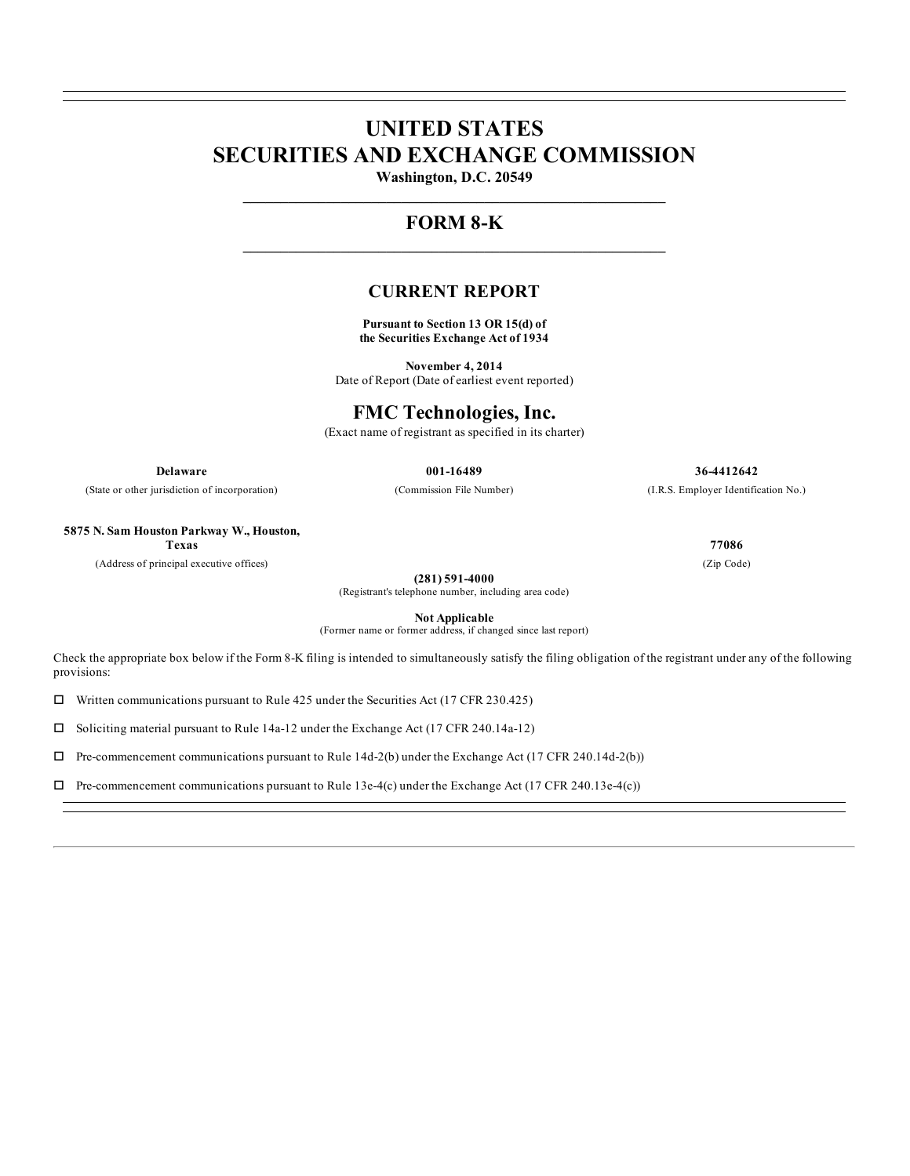# **UNITED STATES SECURITIES AND EXCHANGE COMMISSION**

**Washington, D.C. 20549 \_\_\_\_\_\_\_\_\_\_\_\_\_\_\_\_\_\_\_\_\_\_\_\_\_\_\_\_\_\_\_\_\_\_\_\_\_\_\_\_\_\_\_\_\_\_\_\_\_\_\_\_\_\_\_\_**

## **FORM 8-K \_\_\_\_\_\_\_\_\_\_\_\_\_\_\_\_\_\_\_\_\_\_\_\_\_\_\_\_\_\_\_\_\_\_\_\_\_\_\_\_\_\_\_\_\_\_\_\_\_\_\_\_\_\_\_\_**

## **CURRENT REPORT**

**Pursuant to Section 13 OR 15(d) of the Securities Exchange Act of 1934**

**November 4, 2014** Date of Report (Date of earliest event reported)

## **FMC Technologies, Inc.**

(Exact name of registrant as specified in its charter)

(State or other jurisdiction of incorporation) (Commission File Number) (I.R.S. Employer Identification No.)

**Delaware 001-16489 36-4412642**

**5875 N. Sam Houston Parkway W., Houston,**

**Texas 77086**

(Address of principal executive offices) (Zip Code)

**(281) 591-4000**

(Registrant's telephone number, including area code)

**Not Applicable**

(Former name or former address, if changed since last report)

Check the appropriate box below if the Form 8-K filing is intended to simultaneously satisfy the filing obligation of the registrant under any of the following provisions:

 $\square$  Written communications pursuant to Rule 425 under the Securities Act (17 CFR 230.425)

 $\Box$  Soliciting material pursuant to Rule 14a-12 under the Exchange Act (17 CFR 240.14a-12)

 $\Box$  Pre-commencement communications pursuant to Rule 14d-2(b) under the Exchange Act (17 CFR 240.14d-2(b))

 $\Box$  Pre-commencement communications pursuant to Rule 13e-4(c) under the Exchange Act (17 CFR 240.13e-4(c))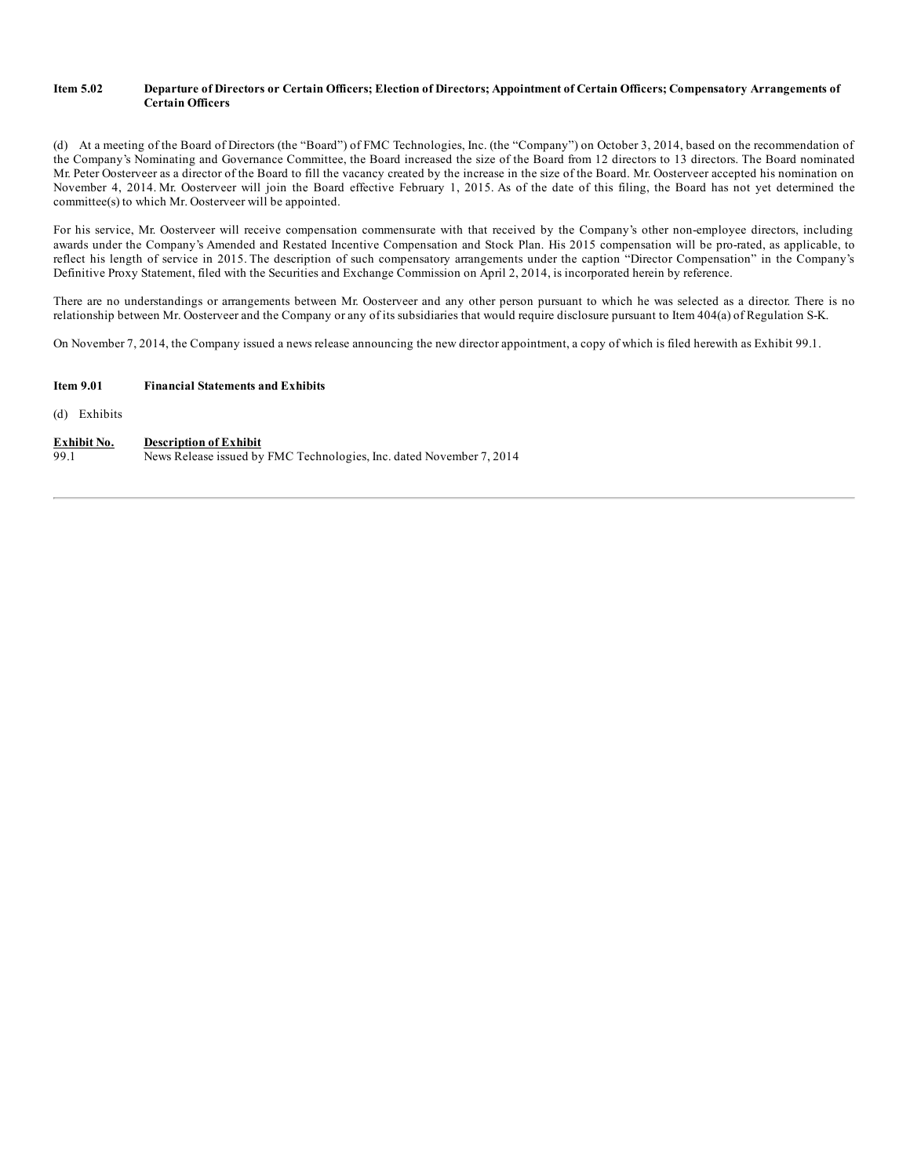#### Item 5.02 Departure of Directors or Certain Officers; Election of Directors; Appointment of Certain Officers; Compensatory Arrangements of **Certain Officers**

(d) At a meeting of the Board of Directors (the "Board") of FMC Technologies, Inc. (the "Company") on October 3, 2014, based on the recommendation of the Company's Nominating and Governance Committee, the Board increased the size of the Board from 12 directors to 13 directors. The Board nominated Mr. Peter Oosterveer as a director of the Board to fill the vacancy created by the increase in the size of the Board. Mr. Oosterveer accepted his nomination on November 4, 2014. Mr. Oosterveer will join the Board effective February 1, 2015. As of the date of this filing, the Board has not yet determined the committee(s) to which Mr. Oosterveer will be appointed.

For his service, Mr. Oosterveer will receive compensation commensurate with that received by the Company's other non-employee directors, including awards under the Company's Amended and Restated Incentive Compensation and Stock Plan. His 2015 compensation will be pro-rated, as applicable, to reflect his length of service in 2015. The description of such compensatory arrangements under the caption "Director Compensation" in the Company's Definitive Proxy Statement, filed with the Securities and Exchange Commission on April 2, 2014, is incorporated herein by reference.

There are no understandings or arrangements between Mr. Oosterveer and any other person pursuant to which he was selected as a director. There is no relationship between Mr. Oosterveer and the Company or any of its subsidiaries that would require disclosure pursuant to Item 404(a) of Regulation S-K.

On November 7, 2014, the Company issued a news release announcing the new director appointment, a copy of which is filed herewith as Exhibit 99.1.

#### **Item 9.01 Financial Statements and Exhibits**

(d) Exhibits

#### **Exhibit No. Description of Exhibit**

99.1 News Release issued by FMC Technologies, Inc. dated November 7, 2014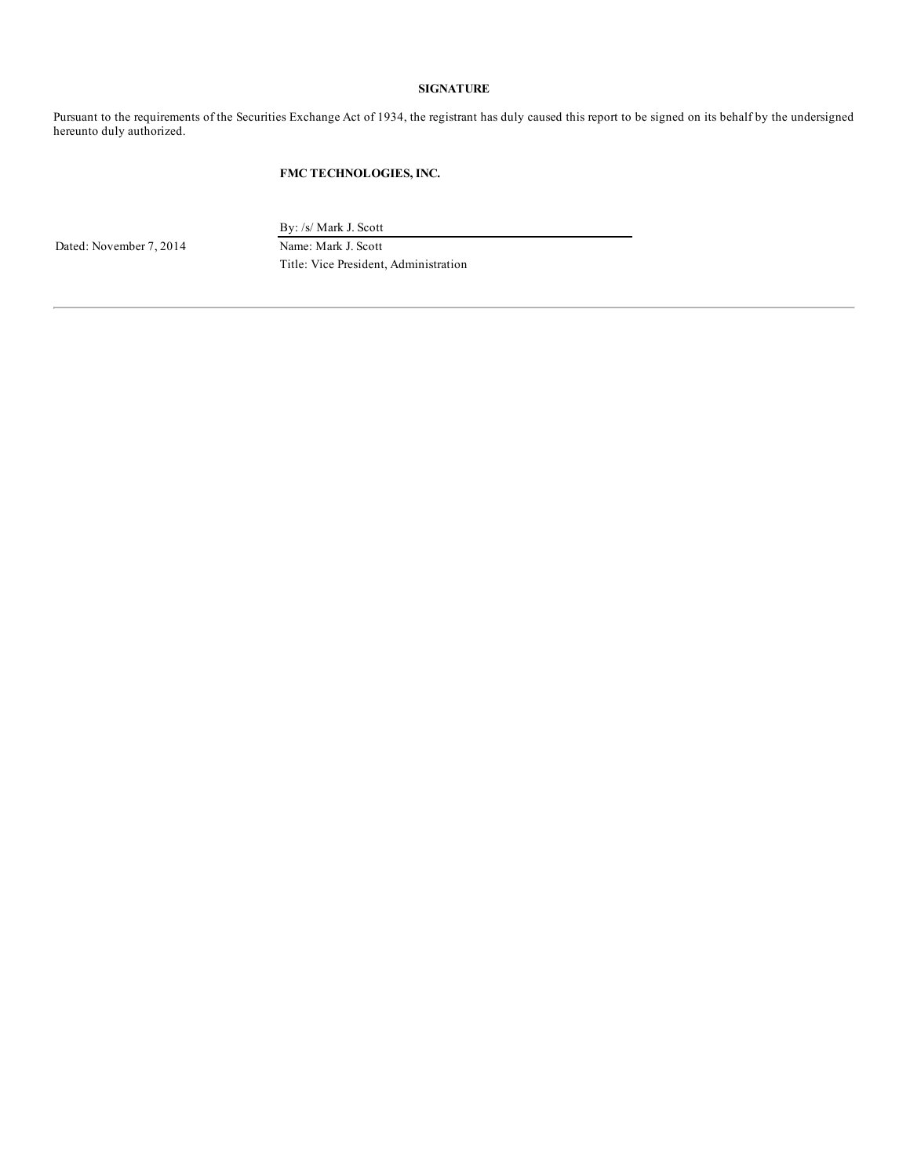#### **SIGNATURE**

Pursuant to the requirements of the Securities Exchange Act of 1934, the registrant has duly caused this report to be signed on its behalf by the undersigned hereunto duly authorized.

#### **FMC TECHNOLOGIES, INC.**

Dated: November 7, 2014 Name: Mark J. Scott

By: /s/ Mark J. Scott

Title: Vice President, Administration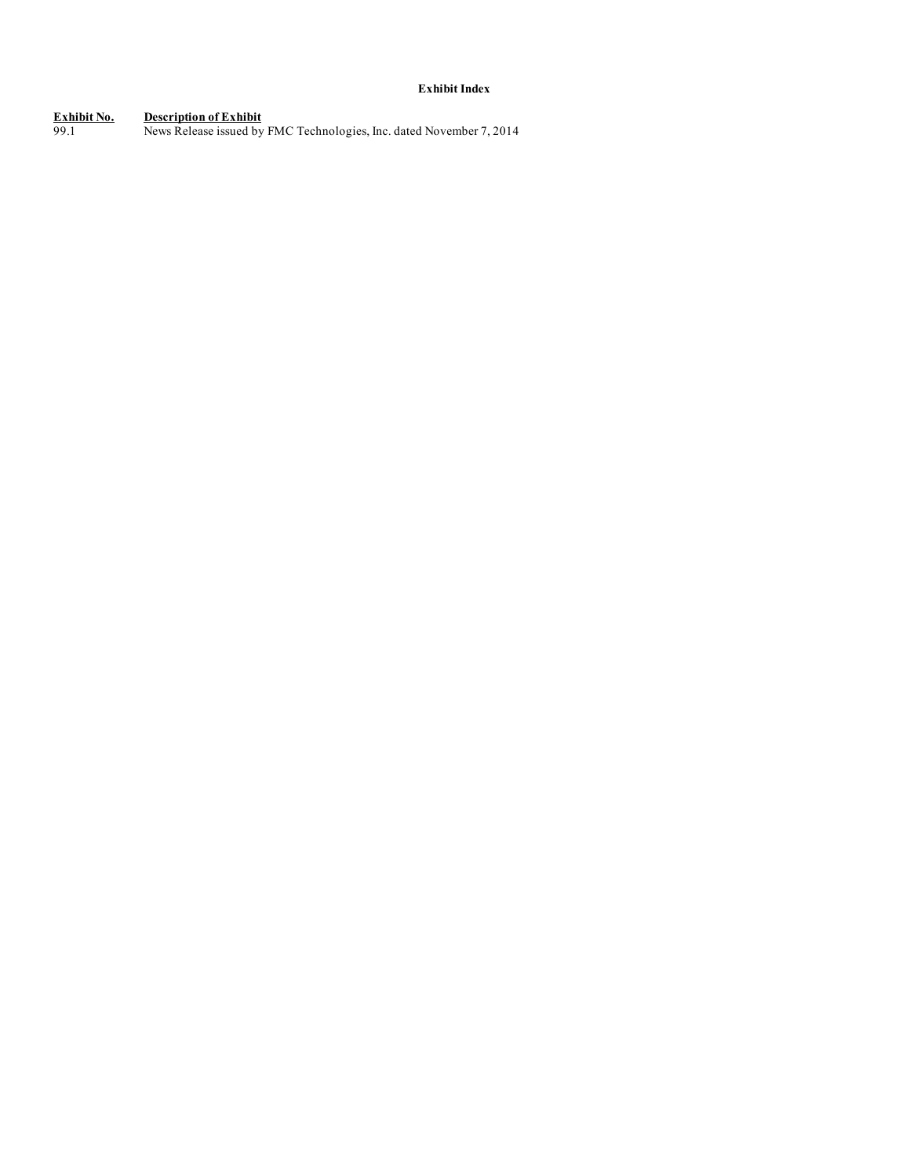### **Exhibit Index**

**Exhibit No. Description of Exhibit** 99.1 News Release issued by FMC Technologies, Inc. dated November 7, 2014